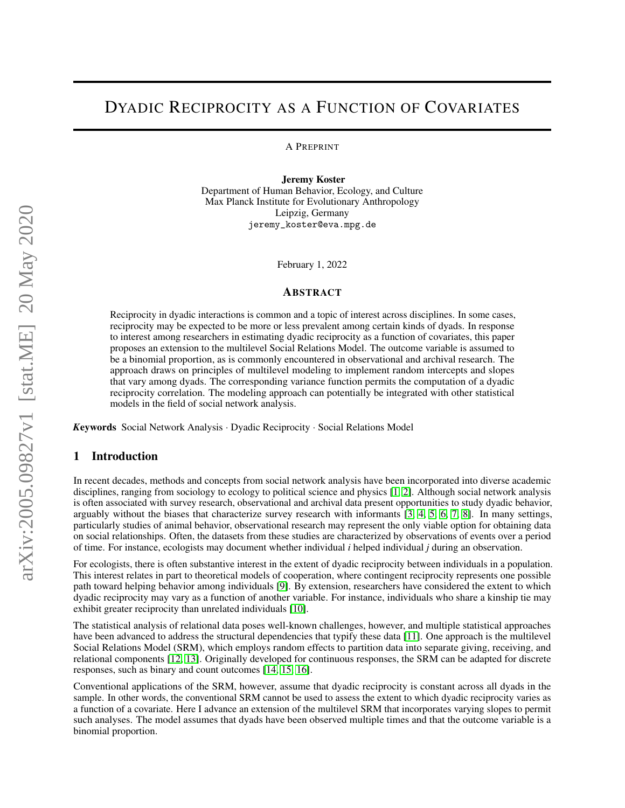# DYADIC RECIPROCITY AS A FUNCTION OF COVARIATES

A PREPRINT

Jeremy Koster Department of Human Behavior, Ecology, and Culture Max Planck Institute for Evolutionary Anthropology Leipzig, Germany

jeremy\_koster@eva.mpg.de

February 1, 2022

#### ABSTRACT

Reciprocity in dyadic interactions is common and a topic of interest across disciplines. In some cases, reciprocity may be expected to be more or less prevalent among certain kinds of dyads. In response to interest among researchers in estimating dyadic reciprocity as a function of covariates, this paper proposes an extension to the multilevel Social Relations Model. The outcome variable is assumed to be a binomial proportion, as is commonly encountered in observational and archival research. The approach draws on principles of multilevel modeling to implement random intercepts and slopes that vary among dyads. The corresponding variance function permits the computation of a dyadic reciprocity correlation. The modeling approach can potentially be integrated with other statistical models in the field of social network analysis.

*K*eywords Social Network Analysis · Dyadic Reciprocity · Social Relations Model

### 1 Introduction

In recent decades, methods and concepts from social network analysis have been incorporated into diverse academic disciplines, ranging from sociology to ecology to political science and physics [\[1,](#page-3-0) [2\]](#page-3-1). Although social network analysis is often associated with survey research, observational and archival data present opportunities to study dyadic behavior, arguably without the biases that characterize survey research with informants [\[3,](#page-3-2) [4,](#page-3-3) [5,](#page-3-4) [6,](#page-3-5) [7,](#page-3-6) [8\]](#page-3-7). In many settings, particularly studies of animal behavior, observational research may represent the only viable option for obtaining data on social relationships. Often, the datasets from these studies are characterized by observations of events over a period of time. For instance, ecologists may document whether individual *i* helped individual *j* during an observation.

For ecologists, there is often substantive interest in the extent of dyadic reciprocity between individuals in a population. This interest relates in part to theoretical models of cooperation, where contingent reciprocity represents one possible path toward helping behavior among individuals [\[9\]](#page-3-8). By extension, researchers have considered the extent to which dyadic reciprocity may vary as a function of another variable. For instance, individuals who share a kinship tie may exhibit greater reciprocity than unrelated individuals [\[10\]](#page-3-9).

The statistical analysis of relational data poses well-known challenges, however, and multiple statistical approaches have been advanced to address the structural dependencies that typify these data [\[11\]](#page-3-10). One approach is the multilevel Social Relations Model (SRM), which employs random effects to partition data into separate giving, receiving, and relational components [\[12,](#page-3-11) [13\]](#page-3-12). Originally developed for continuous responses, the SRM can be adapted for discrete responses, such as binary and count outcomes [\[14,](#page-3-13) [15,](#page-3-14) [16\]](#page-3-15).

Conventional applications of the SRM, however, assume that dyadic reciprocity is constant across all dyads in the sample. In other words, the conventional SRM cannot be used to assess the extent to which dyadic reciprocity varies as a function of a covariate. Here I advance an extension of the multilevel SRM that incorporates varying slopes to permit such analyses. The model assumes that dyads have been observed multiple times and that the outcome variable is a binomial proportion.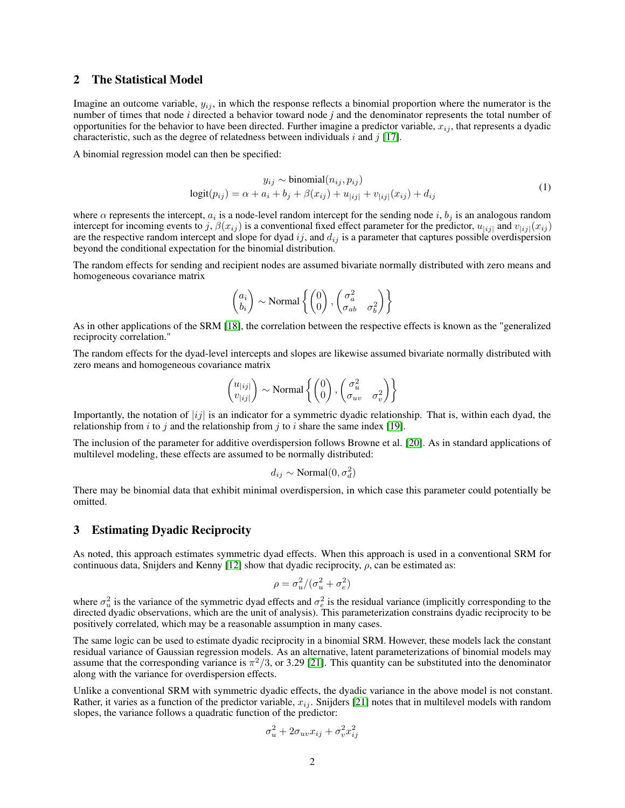### 2 The Statistical Model

Imagine an outcome variable,  $y_{ij}$ , in which the response reflects a binomial proportion where the numerator is the number of times that node *i* directed a behavior toward node *j* and the denominator represents the total number of opportunities for the behavior to have been directed. Further imagine a predictor variable,  $x_{ij}$ , that represents a dyadic characteristic, such as the degree of relatedness between individuals i and j [\[17\]](#page-3-16).

A binomial regression model can then be specified:

$$
y_{ij} \sim \text{binomial}(n_{ij}, p_{ij})
$$
  

$$
\text{logit}(p_{ij}) = \alpha + a_i + b_j + \beta(x_{ij}) + u_{|ij|} + v_{|ij|}(x_{ij}) + d_{ij}
$$
 (1)

where  $\alpha$  represents the intercept,  $a_i$  is a node-level random intercept for the sending node i,  $b_j$  is an analogous random intercept for incoming events to j,  $\beta(x_{ij})$  is a conventional fixed effect parameter for the predictor,  $u_{[ij]}$  and  $v_{[ij]}(x_{ij})$ are the respective random intercept and slope for dyad ij, and  $d_{ij}$  is a parameter that captures possible overdispersion beyond the conditional expectation for the binomial distribution.

The random effects for sending and recipient nodes are assumed bivariate normally distributed with zero means and homogeneous covariance matrix

$$
\begin{pmatrix} a_i \\ b_i \end{pmatrix} \sim \text{Normal}\left\{\begin{pmatrix} 0 \\ 0 \end{pmatrix}, \begin{pmatrix} \sigma_a^2 & \\ \sigma_{ab} & \sigma_b^2 \end{pmatrix}\right\}
$$

As in other applications of the SRM [\[18\]](#page-3-17), the correlation between the respective effects is known as the "generalized reciprocity correlation."

The random effects for the dyad-level intercepts and slopes are likewise assumed bivariate normally distributed with zero means and homogeneous covariance matrix

$$
\begin{pmatrix} u_{|ij|} \\ v_{|ij|} \end{pmatrix} \sim \text{Normal}\left\{ \begin{pmatrix} 0 \\ 0 \end{pmatrix}, \begin{pmatrix} \sigma_u^2 \\ \sigma_{uv} & \sigma_v^2 \end{pmatrix} \right\}
$$

Importantly, the notation of  $|ij|$  is an indicator for a symmetric dyadic relationship. That is, within each dyad, the relationship from i to j and the relationship from j to i share the same index [\[19\]](#page-3-18).

The inclusion of the parameter for additive overdispersion follows Browne et al. [\[20\]](#page-3-19). As in standard applications of multilevel modeling, these effects are assumed to be normally distributed:

$$
d_{ij} \sim \text{Normal}(0, \sigma_d^2)
$$

There may be binomial data that exhibit minimal overdispersion, in which case this parameter could potentially be omitted.

#### 3 Estimating Dyadic Reciprocity

As noted, this approach estimates symmetric dyad effects. When this approach is used in a conventional SRM for continuous data, Snijders and Kenny [\[12\]](#page-3-11) show that dyadic reciprocity,  $\rho$ , can be estimated as:

$$
\rho = \sigma_u^2 / (\sigma_u^2 + \sigma_e^2)
$$

where  $\sigma_u^2$  is the variance of the symmetric dyad effects and  $\sigma_e^2$  is the residual variance (implicitly corresponding to the directed dyadic observations, which are the unit of analysis). This parameterization constrains dyadic reciprocity to be positively correlated, which may be a reasonable assumption in many cases.

The same logic can be used to estimate dyadic reciprocity in a binomial SRM. However, these models lack the constant residual variance of Gaussian regression models. As an alternative, latent parameterizations of binomial models may assume that the corresponding variance is  $\pi^2/3$ , or 3.29 [\[21\]](#page-3-20). This quantity can be substituted into the denominator along with the variance for overdispersion effects.

Unlike a conventional SRM with symmetric dyadic effects, the dyadic variance in the above model is not constant. Rather, it varies as a function of the predictor variable,  $x_{ij}$ . Snijders [\[21\]](#page-3-20) notes that in multilevel models with random slopes, the variance follows a quadratic function of the predictor:

$$
\sigma_u^2 + 2\sigma_{uv}x_{ij} + \sigma_v^2 x_{ij}^2
$$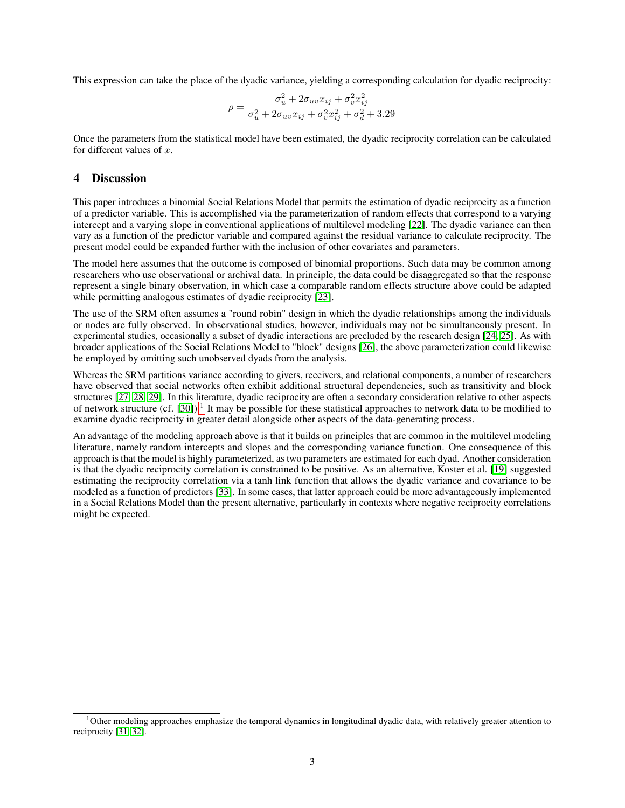This expression can take the place of the dyadic variance, yielding a corresponding calculation for dyadic reciprocity:

$$
\rho = \frac{\sigma_u^2 + 2\sigma_{uv}x_{ij} + \sigma_v^2 x_{ij}^2}{\sigma_u^2 + 2\sigma_{uv}x_{ij} + \sigma_v^2 x_{ij}^2 + \sigma_d^2 + 3.29}
$$

Once the parameters from the statistical model have been estimated, the dyadic reciprocity correlation can be calculated for different values of  $x$ .

## 4 Discussion

This paper introduces a binomial Social Relations Model that permits the estimation of dyadic reciprocity as a function of a predictor variable. This is accomplished via the parameterization of random effects that correspond to a varying intercept and a varying slope in conventional applications of multilevel modeling [\[22\]](#page-3-21). The dyadic variance can then vary as a function of the predictor variable and compared against the residual variance to calculate reciprocity. The present model could be expanded further with the inclusion of other covariates and parameters.

The model here assumes that the outcome is composed of binomial proportions. Such data may be common among researchers who use observational or archival data. In principle, the data could be disaggregated so that the response represent a single binary observation, in which case a comparable random effects structure above could be adapted while permitting analogous estimates of dyadic reciprocity [\[23\]](#page-3-22).

The use of the SRM often assumes a "round robin" design in which the dyadic relationships among the individuals or nodes are fully observed. In observational studies, however, individuals may not be simultaneously present. In experimental studies, occasionally a subset of dyadic interactions are precluded by the research design [\[24,](#page-3-23) [25\]](#page-4-0). As with broader applications of the Social Relations Model to "block" designs [\[26\]](#page-4-1), the above parameterization could likewise be employed by omitting such unobserved dyads from the analysis.

Whereas the SRM partitions variance according to givers, receivers, and relational components, a number of researchers have observed that social networks often exhibit additional structural dependencies, such as transitivity and block structures [\[27,](#page-4-2) [28,](#page-4-3) [29\]](#page-4-4). In this literature, dyadic reciprocity are often a secondary consideration relative to other aspects of network structure (cf. [\[30\]](#page-4-5)).<sup>[1](#page-2-0)</sup> It may be possible for these statistical approaches to network data to be modified to examine dyadic reciprocity in greater detail alongside other aspects of the data-generating process.

An advantage of the modeling approach above is that it builds on principles that are common in the multilevel modeling literature, namely random intercepts and slopes and the corresponding variance function. One consequence of this approach is that the model is highly parameterized, as two parameters are estimated for each dyad. Another consideration is that the dyadic reciprocity correlation is constrained to be positive. As an alternative, Koster et al. [\[19\]](#page-3-18) suggested estimating the reciprocity correlation via a tanh link function that allows the dyadic variance and covariance to be modeled as a function of predictors [\[33\]](#page-4-6). In some cases, that latter approach could be more advantageously implemented in a Social Relations Model than the present alternative, particularly in contexts where negative reciprocity correlations might be expected.

<span id="page-2-0"></span><sup>1</sup>Other modeling approaches emphasize the temporal dynamics in longitudinal dyadic data, with relatively greater attention to reciprocity [\[31,](#page-4-7) [32\]](#page-4-8).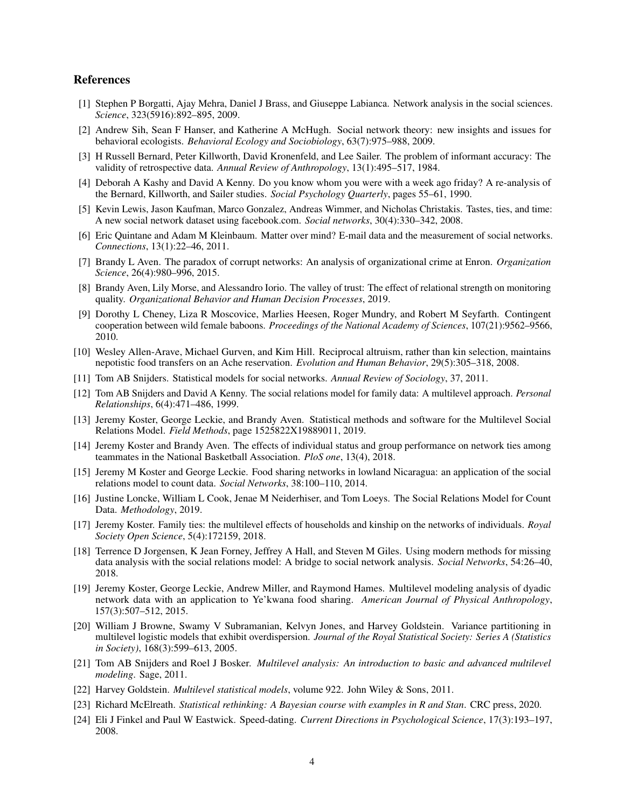## References

- <span id="page-3-0"></span>[1] Stephen P Borgatti, Ajay Mehra, Daniel J Brass, and Giuseppe Labianca. Network analysis in the social sciences. *Science*, 323(5916):892–895, 2009.
- <span id="page-3-1"></span>[2] Andrew Sih, Sean F Hanser, and Katherine A McHugh. Social network theory: new insights and issues for behavioral ecologists. *Behavioral Ecology and Sociobiology*, 63(7):975–988, 2009.
- <span id="page-3-2"></span>[3] H Russell Bernard, Peter Killworth, David Kronenfeld, and Lee Sailer. The problem of informant accuracy: The validity of retrospective data. *Annual Review of Anthropology*, 13(1):495–517, 1984.
- <span id="page-3-3"></span>[4] Deborah A Kashy and David A Kenny. Do you know whom you were with a week ago friday? A re-analysis of the Bernard, Killworth, and Sailer studies. *Social Psychology Quarterly*, pages 55–61, 1990.
- <span id="page-3-4"></span>[5] Kevin Lewis, Jason Kaufman, Marco Gonzalez, Andreas Wimmer, and Nicholas Christakis. Tastes, ties, and time: A new social network dataset using facebook.com. *Social networks*, 30(4):330–342, 2008.
- <span id="page-3-5"></span>[6] Eric Quintane and Adam M Kleinbaum. Matter over mind? E-mail data and the measurement of social networks. *Connections*, 13(1):22–46, 2011.
- <span id="page-3-6"></span>[7] Brandy L Aven. The paradox of corrupt networks: An analysis of organizational crime at Enron. *Organization Science*, 26(4):980–996, 2015.
- <span id="page-3-7"></span>[8] Brandy Aven, Lily Morse, and Alessandro Iorio. The valley of trust: The effect of relational strength on monitoring quality. *Organizational Behavior and Human Decision Processes*, 2019.
- <span id="page-3-8"></span>[9] Dorothy L Cheney, Liza R Moscovice, Marlies Heesen, Roger Mundry, and Robert M Seyfarth. Contingent cooperation between wild female baboons. *Proceedings of the National Academy of Sciences*, 107(21):9562–9566, 2010.
- <span id="page-3-9"></span>[10] Wesley Allen-Arave, Michael Gurven, and Kim Hill. Reciprocal altruism, rather than kin selection, maintains nepotistic food transfers on an Ache reservation. *Evolution and Human Behavior*, 29(5):305–318, 2008.
- <span id="page-3-10"></span>[11] Tom AB Snijders. Statistical models for social networks. *Annual Review of Sociology*, 37, 2011.
- <span id="page-3-11"></span>[12] Tom AB Snijders and David A Kenny. The social relations model for family data: A multilevel approach. *Personal Relationships*, 6(4):471–486, 1999.
- <span id="page-3-12"></span>[13] Jeremy Koster, George Leckie, and Brandy Aven. Statistical methods and software for the Multilevel Social Relations Model. *Field Methods*, page 1525822X19889011, 2019.
- <span id="page-3-13"></span>[14] Jeremy Koster and Brandy Aven. The effects of individual status and group performance on network ties among teammates in the National Basketball Association. *PloS one*, 13(4), 2018.
- <span id="page-3-14"></span>[15] Jeremy M Koster and George Leckie. Food sharing networks in lowland Nicaragua: an application of the social relations model to count data. *Social Networks*, 38:100–110, 2014.
- <span id="page-3-15"></span>[16] Justine Loncke, William L Cook, Jenae M Neiderhiser, and Tom Loeys. The Social Relations Model for Count Data. *Methodology*, 2019.
- <span id="page-3-16"></span>[17] Jeremy Koster. Family ties: the multilevel effects of households and kinship on the networks of individuals. *Royal Society Open Science*, 5(4):172159, 2018.
- <span id="page-3-17"></span>[18] Terrence D Jorgensen, K Jean Forney, Jeffrey A Hall, and Steven M Giles. Using modern methods for missing data analysis with the social relations model: A bridge to social network analysis. *Social Networks*, 54:26–40, 2018.
- <span id="page-3-18"></span>[19] Jeremy Koster, George Leckie, Andrew Miller, and Raymond Hames. Multilevel modeling analysis of dyadic network data with an application to Ye'kwana food sharing. *American Journal of Physical Anthropology*, 157(3):507–512, 2015.
- <span id="page-3-19"></span>[20] William J Browne, Swamy V Subramanian, Kelvyn Jones, and Harvey Goldstein. Variance partitioning in multilevel logistic models that exhibit overdispersion. *Journal of the Royal Statistical Society: Series A (Statistics in Society)*, 168(3):599–613, 2005.
- <span id="page-3-20"></span>[21] Tom AB Snijders and Roel J Bosker. *Multilevel analysis: An introduction to basic and advanced multilevel modeling*. Sage, 2011.
- <span id="page-3-21"></span>[22] Harvey Goldstein. *Multilevel statistical models*, volume 922. John Wiley & Sons, 2011.
- <span id="page-3-22"></span>[23] Richard McElreath. *Statistical rethinking: A Bayesian course with examples in R and Stan*. CRC press, 2020.
- <span id="page-3-23"></span>[24] Eli J Finkel and Paul W Eastwick. Speed-dating. *Current Directions in Psychological Science*, 17(3):193–197, 2008.